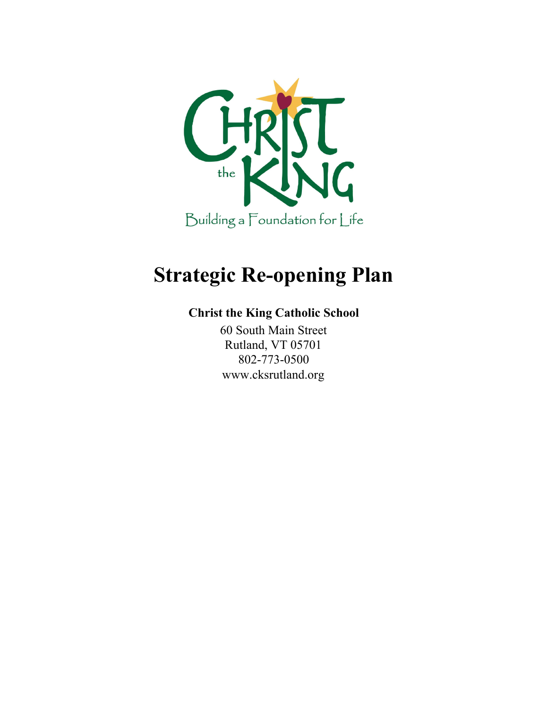

# **Strategic Re-opening Plan**

#### **Christ the King Catholic School**

60 South Main Street Rutland, VT 05701 802-773-0500 www.cksrutland.org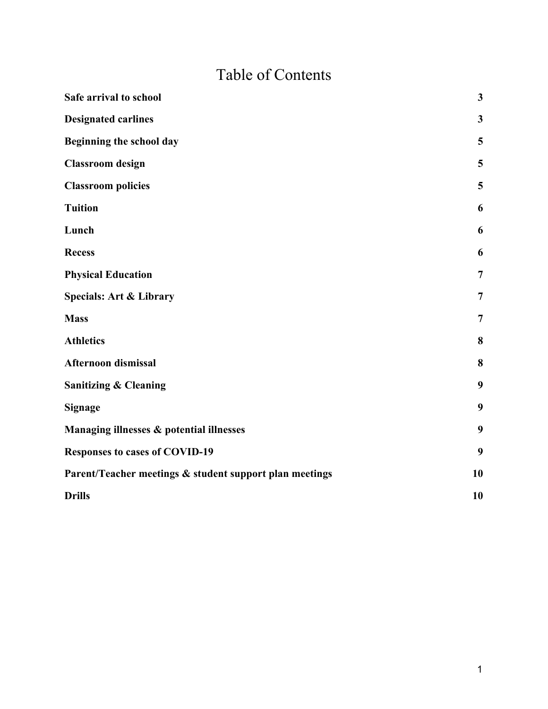## Table of Contents

| Safe arrival to school                                  | $\mathbf{3}$   |
|---------------------------------------------------------|----------------|
| <b>Designated carlines</b>                              | $\mathbf{3}$   |
| Beginning the school day                                | 5              |
| <b>Classroom</b> design                                 | 5              |
| <b>Classroom policies</b>                               | 5              |
| <b>Tuition</b>                                          | 6              |
| Lunch                                                   | 6              |
| <b>Recess</b>                                           | 6              |
| <b>Physical Education</b>                               | $\overline{7}$ |
| <b>Specials: Art &amp; Library</b>                      | $\overline{7}$ |
| <b>Mass</b>                                             | $\overline{7}$ |
| <b>Athletics</b>                                        | 8              |
| Afternoon dismissal                                     | 8              |
| <b>Sanitizing &amp; Cleaning</b>                        | 9              |
| <b>Signage</b>                                          | 9              |
| Managing illnesses & potential illnesses                | 9              |
| <b>Responses to cases of COVID-19</b>                   | 9              |
| Parent/Teacher meetings & student support plan meetings | 10             |
| <b>Drills</b>                                           | 10             |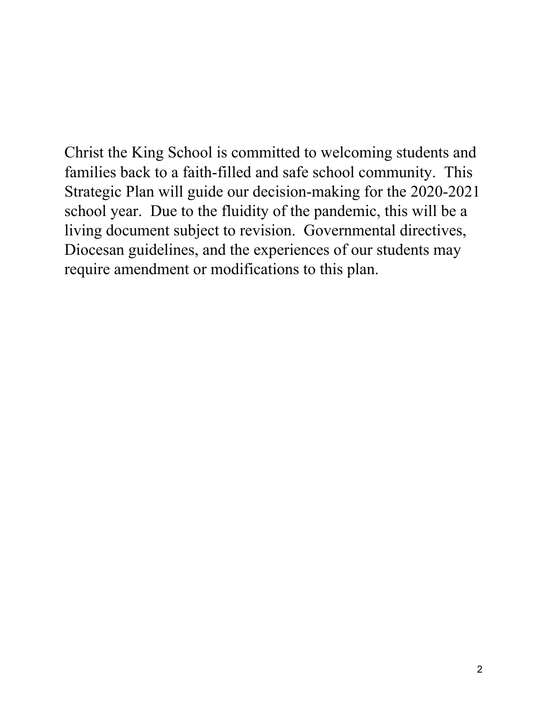Christ the King School is committed to welcoming students and families back to a faith-filled and safe school community. This Strategic Plan will guide our decision-making for the 2020-2021 school year. Due to the fluidity of the pandemic, this will be a living document subject to revision. Governmental directives, Diocesan guidelines, and the experiences of our students may require amendment or modifications to this plan.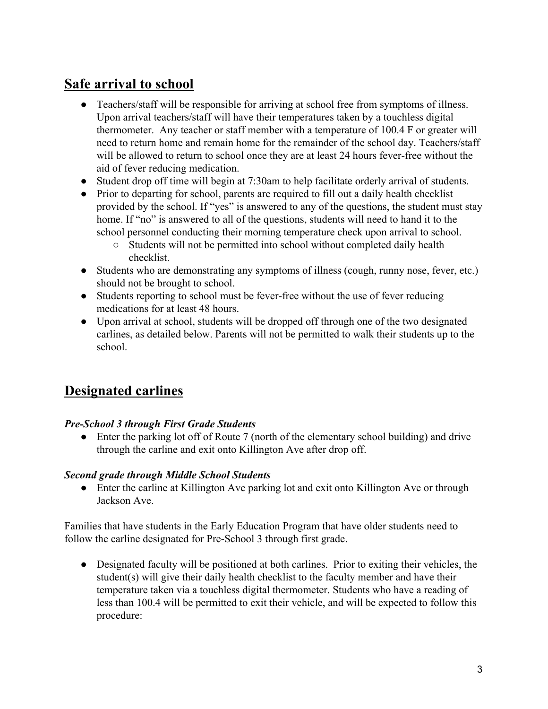#### <span id="page-3-0"></span>**Safe arrival to school**

- Teachers/staff will be responsible for arriving at school free from symptoms of illness. Upon arrival teachers/staff will have their temperatures taken by a touchless digital thermometer. Any teacher or staff member with a temperature of 100.4 F or greater will need to return home and remain home for the remainder of the school day. Teachers/staff will be allowed to return to school once they are at least 24 hours fever-free without the aid of fever reducing medication.
- Student drop off time will begin at 7:30am to help facilitate orderly arrival of students.
- Prior to departing for school, parents are required to fill out a daily health checklist provided by the school. If "yes" is answered to any of the questions, the student must stay home. If "no" is answered to all of the questions, students will need to hand it to the school personnel conducting their morning temperature check upon arrival to school.
	- Students will not be permitted into school without completed daily health checklist.
- Students who are demonstrating any symptoms of illness (cough, runny nose, fever, etc.) should not be brought to school.
- Students reporting to school must be fever-free without the use of fever reducing medications for at least 48 hours.
- Upon arrival at school, students will be dropped off through one of the two designated carlines, as detailed below. Parents will not be permitted to walk their students up to the school.

#### <span id="page-3-1"></span>**Designated carlines**

#### *Pre-School 3 through First Grade Students*

• Enter the parking lot off of Route 7 (north of the elementary school building) and drive through the carline and exit onto Killington Ave after drop off.

#### *Second grade through Middle School Students*

• Enter the carline at Killington Ave parking lot and exit onto Killington Ave or through Jackson Ave.

Families that have students in the Early Education Program that have older students need to follow the carline designated for Pre-School 3 through first grade.

• Designated faculty will be positioned at both carlines. Prior to exiting their vehicles, the student(s) will give their daily health checklist to the faculty member and have their temperature taken via a touchless digital thermometer. Students who have a reading of less than 100.4 will be permitted to exit their vehicle, and will be expected to follow this procedure: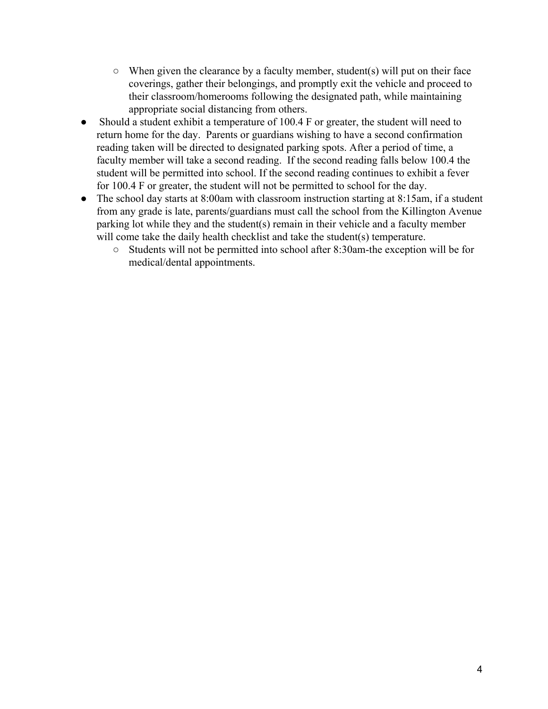- $\circ$  When given the clearance by a faculty member, student(s) will put on their face coverings, gather their belongings, and promptly exit the vehicle and proceed to their classroom/homerooms following the designated path, while maintaining appropriate social distancing from others.
- Should a student exhibit a temperature of 100.4 F or greater, the student will need to return home for the day. Parents or guardians wishing to have a second confirmation reading taken will be directed to designated parking spots. After a period of time, a faculty member will take a second reading. If the second reading falls below 100.4 the student will be permitted into school. If the second reading continues to exhibit a fever for 100.4 F or greater, the student will not be permitted to school for the day.
- The school day starts at 8:00am with classroom instruction starting at 8:15am, if a student from any grade is late, parents/guardians must call the school from the Killington Avenue parking lot while they and the student(s) remain in their vehicle and a faculty member will come take the daily health checklist and take the student(s) temperature.
	- Students will not be permitted into school after 8:30am-the exception will be for medical/dental appointments.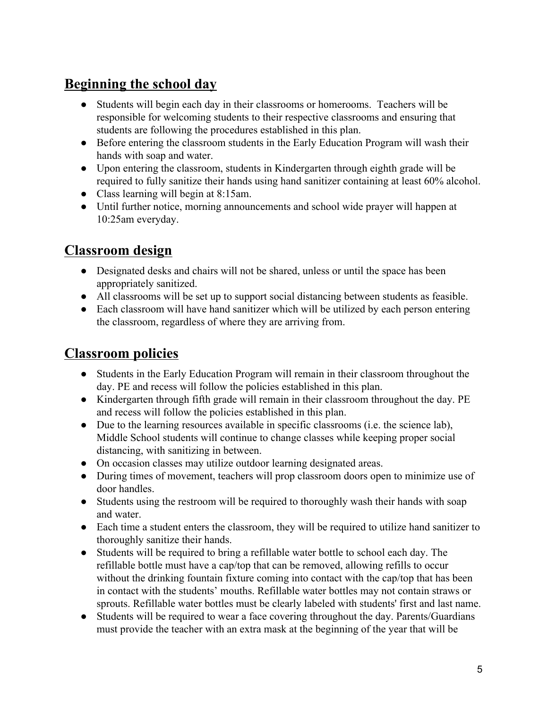#### <span id="page-5-0"></span>**Beginning the school day**

- Students will begin each day in their classrooms or homerooms. Teachers will be responsible for welcoming students to their respective classrooms and ensuring that students are following the procedures established in this plan.
- Before entering the classroom students in the Early Education Program will wash their hands with soap and water.
- Upon entering the classroom, students in Kindergarten through eighth grade will be required to fully sanitize their hands using hand sanitizer containing at least 60% alcohol.
- Class learning will begin at 8:15am.
- Until further notice, morning announcements and school wide prayer will happen at 10:25am everyday.

#### <span id="page-5-1"></span>**Classroom design**

- Designated desks and chairs will not be shared, unless or until the space has been appropriately sanitized.
- All classrooms will be set up to support social distancing between students as feasible.
- Each classroom will have hand sanitizer which will be utilized by each person entering the classroom, regardless of where they are arriving from.

#### <span id="page-5-2"></span>**Classroom policies**

- Students in the Early Education Program will remain in their classroom throughout the day. PE and recess will follow the policies established in this plan.
- Kindergarten through fifth grade will remain in their classroom throughout the day. PE and recess will follow the policies established in this plan.
- Due to the learning resources available in specific classrooms (i.e. the science lab), Middle School students will continue to change classes while keeping proper social distancing, with sanitizing in between.
- On occasion classes may utilize outdoor learning designated areas.
- During times of movement, teachers will prop classroom doors open to minimize use of door handles.
- Students using the restroom will be required to thoroughly wash their hands with soap and water.
- Each time a student enters the classroom, they will be required to utilize hand sanitizer to thoroughly sanitize their hands.
- Students will be required to bring a refillable water bottle to school each day. The refillable bottle must have a cap/top that can be removed, allowing refills to occur without the drinking fountain fixture coming into contact with the cap/top that has been in contact with the students' mouths. Refillable water bottles may not contain straws or sprouts. Refillable water bottles must be clearly labeled with students' first and last name.
- Students will be required to wear a face covering throughout the day. Parents/Guardians must provide the teacher with an extra mask at the beginning of the year that will be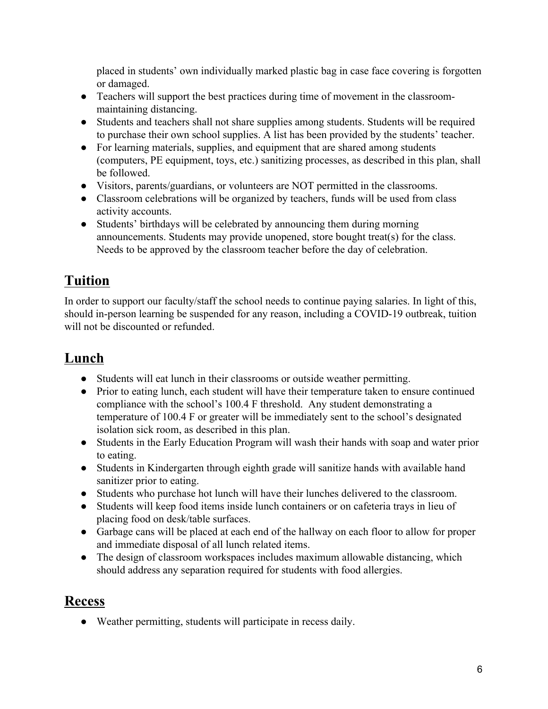placed in students' own individually marked plastic bag in case face covering is forgotten or damaged.

- Teachers will support the best practices during time of movement in the classroommaintaining distancing.
- Students and teachers shall not share supplies among students. Students will be required to purchase their own school supplies. A list has been provided by the students' teacher.
- For learning materials, supplies, and equipment that are shared among students (computers, PE equipment, toys, etc.) sanitizing processes, as described in this plan, shall be followed.
- Visitors, parents/guardians, or volunteers are NOT permitted in the classrooms.
- Classroom celebrations will be organized by teachers, funds will be used from class activity accounts.
- Students' birthdays will be celebrated by announcing them during morning announcements. Students may provide unopened, store bought treat(s) for the class. Needs to be approved by the classroom teacher before the day of celebration.

## <span id="page-6-0"></span>**Tuition**

In order to support our faculty/staff the school needs to continue paying salaries. In light of this, should in-person learning be suspended for any reason, including a COVID-19 outbreak, tuition will not be discounted or refunded.

### <span id="page-6-1"></span>**Lunch**

- Students will eat lunch in their classrooms or outside weather permitting.
- Prior to eating lunch, each student will have their temperature taken to ensure continued compliance with the school's 100.4 F threshold. Any student demonstrating a temperature of 100.4 F or greater will be immediately sent to the school's designated isolation sick room, as described in this plan.
- Students in the Early Education Program will wash their hands with soap and water prior to eating.
- Students in Kindergarten through eighth grade will sanitize hands with available hand sanitizer prior to eating.
- Students who purchase hot lunch will have their lunches delivered to the classroom.
- Students will keep food items inside lunch containers or on cafeteria trays in lieu of placing food on desk/table surfaces.
- Garbage cans will be placed at each end of the hallway on each floor to allow for proper and immediate disposal of all lunch related items.
- The design of classroom workspaces includes maximum allowable distancing, which should address any separation required for students with food allergies.

#### <span id="page-6-2"></span>**Recess**

● Weather permitting, students will participate in recess daily.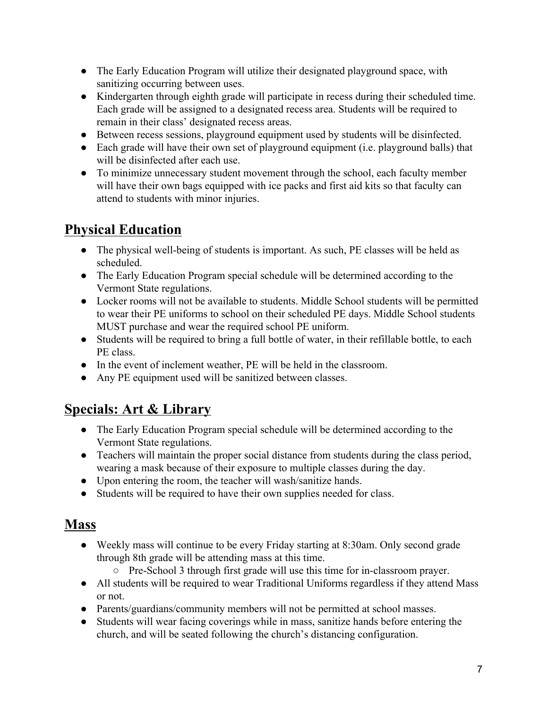- The Early Education Program will utilize their designated playground space, with sanitizing occurring between uses.
- Kindergarten through eighth grade will participate in recess during their scheduled time. Each grade will be assigned to a designated recess area. Students will be required to remain in their class' designated recess areas.
- Between recess sessions, playground equipment used by students will be disinfected.
- Each grade will have their own set of playground equipment (i.e. playground balls) that will be disinfected after each use.
- To minimize unnecessary student movement through the school, each faculty member will have their own bags equipped with ice packs and first aid kits so that faculty can attend to students with minor injuries.

#### <span id="page-7-0"></span>**Physical Education**

- The physical well-being of students is important. As such, PE classes will be held as scheduled.
- The Early Education Program special schedule will be determined according to the Vermont State regulations.
- Locker rooms will not be available to students. Middle School students will be permitted to wear their PE uniforms to school on their scheduled PE days. Middle School students MUST purchase and wear the required school PE uniform.
- Students will be required to bring a full bottle of water, in their refillable bottle, to each PE class.
- In the event of inclement weather, PE will be held in the classroom.
- Any PE equipment used will be sanitized between classes.

#### <span id="page-7-1"></span>**Specials: Art & Library**

- The Early Education Program special schedule will be determined according to the Vermont State regulations.
- Teachers will maintain the proper social distance from students during the class period, wearing a mask because of their exposure to multiple classes during the day.
- Upon entering the room, the teacher will wash/sanitize hands.
- Students will be required to have their own supplies needed for class.

#### <span id="page-7-2"></span>**Mass**

- Weekly mass will continue to be every Friday starting at 8:30am. Only second grade through 8th grade will be attending mass at this time.
	- Pre-School 3 through first grade will use this time for in-classroom prayer.
- All students will be required to wear Traditional Uniforms regardless if they attend Mass or not.
- Parents/guardians/community members will not be permitted at school masses.
- Students will wear facing coverings while in mass, sanitize hands before entering the church, and will be seated following the church's distancing configuration.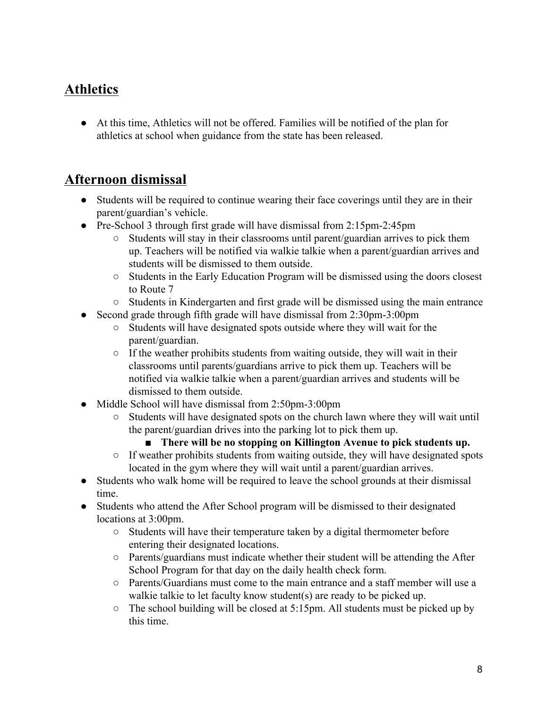#### <span id="page-8-0"></span>**Athletics**

● At this time, Athletics will not be offered. Families will be notified of the plan for athletics at school when guidance from the state has been released.

#### <span id="page-8-1"></span>**Afternoon dismissal**

- Students will be required to continue wearing their face coverings until they are in their parent/guardian's vehicle.
- Pre-School 3 through first grade will have dismissal from 2:15pm-2:45pm
	- Students will stay in their classrooms until parent/guardian arrives to pick them up. Teachers will be notified via walkie talkie when a parent/guardian arrives and students will be dismissed to them outside.
	- Students in the Early Education Program will be dismissed using the doors closest to Route 7
	- Students in Kindergarten and first grade will be dismissed using the main entrance
- Second grade through fifth grade will have dismissal from 2:30pm-3:00pm
	- Students will have designated spots outside where they will wait for the parent/guardian.
	- $\circ$  If the weather prohibits students from waiting outside, they will wait in their classrooms until parents/guardians arrive to pick them up. Teachers will be notified via walkie talkie when a parent/guardian arrives and students will be dismissed to them outside.
- Middle School will have dismissal from  $2:50 \text{pm-3}:00 \text{pm}$ 
	- Students will have designated spots on the church lawn where they will wait until the parent/guardian drives into the parking lot to pick them up.
		- **There will be no stopping on Killington Avenue to pick students up.**
	- If weather prohibits students from waiting outside, they will have designated spots located in the gym where they will wait until a parent/guardian arrives.
- Students who walk home will be required to leave the school grounds at their dismissal time.
- Students who attend the After School program will be dismissed to their designated locations at 3:00pm.
	- Students will have their temperature taken by a digital thermometer before entering their designated locations.
	- Parents/guardians must indicate whether their student will be attending the After School Program for that day on the daily health check form.
	- $\circ$  Parents/Guardians must come to the main entrance and a staff member will use a walkie talkie to let faculty know student(s) are ready to be picked up.
	- The school building will be closed at 5:15pm. All students must be picked up by this time.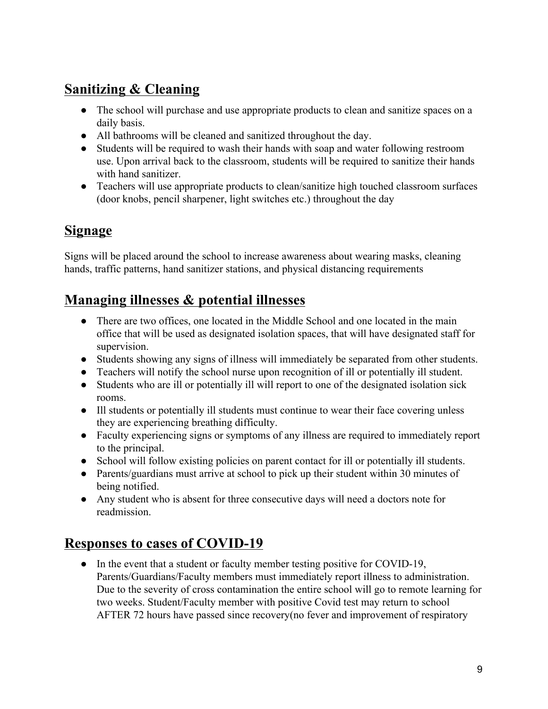#### <span id="page-9-0"></span>**Sanitizing & Cleaning**

- The school will purchase and use appropriate products to clean and sanitize spaces on a daily basis.
- All bathrooms will be cleaned and sanitized throughout the day.
- Students will be required to wash their hands with soap and water following restroom use. Upon arrival back to the classroom, students will be required to sanitize their hands with hand sanitizer.
- Teachers will use appropriate products to clean/sanitize high touched classroom surfaces (door knobs, pencil sharpener, light switches etc.) throughout the day

#### <span id="page-9-1"></span>**Signage**

Signs will be placed around the school to increase awareness about wearing masks, cleaning hands, traffic patterns, hand sanitizer stations, and physical distancing requirements

#### <span id="page-9-2"></span>**Managing illnesses & potential illnesses**

- There are two offices, one located in the Middle School and one located in the main office that will be used as designated isolation spaces, that will have designated staff for supervision.
- Students showing any signs of illness will immediately be separated from other students.
- Teachers will notify the school nurse upon recognition of ill or potentially ill student.
- Students who are ill or potentially ill will report to one of the designated isolation sick rooms.
- Ill students or potentially ill students must continue to wear their face covering unless they are experiencing breathing difficulty.
- Faculty experiencing signs or symptoms of any illness are required to immediately report to the principal.
- School will follow existing policies on parent contact for ill or potentially ill students.
- Parents/guardians must arrive at school to pick up their student within 30 minutes of being notified.
- Any student who is absent for three consecutive days will need a doctors note for readmission.

#### <span id="page-9-3"></span>**Responses to cases of COVID-19**

• In the event that a student or faculty member testing positive for COVID-19, Parents/Guardians/Faculty members must immediately report illness to administration. Due to the severity of cross contamination the entire school will go to remote learning for two weeks. Student/Faculty member with positive Covid test may return to school AFTER 72 hours have passed since recovery(no fever and improvement of respiratory